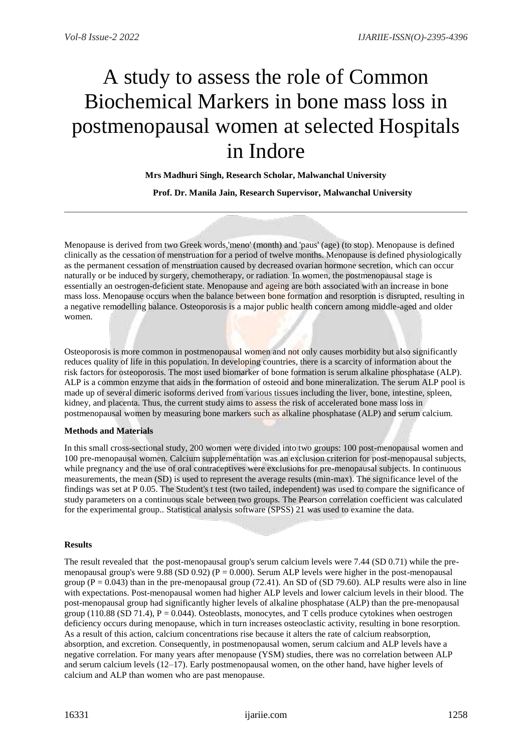# A study to assess the role of Common Biochemical Markers in bone mass loss in postmenopausal women at selected Hospitals in Indore

**Mrs Madhuri Singh, Research Scholar, Malwanchal University**

 **Prof. Dr. Manila Jain, Research Supervisor, Malwanchal University**

Menopause is derived from two Greek words,'meno' (month) and 'paus' (age) (to stop). Menopause is defined clinically as the cessation of menstruation for a period of twelve months. Menopause is defined physiologically as the permanent cessation of menstruation caused by decreased ovarian hormone secretion, which can occur naturally or be induced by surgery, chemotherapy, or radiation. In women, the postmenopausal stage is essentially an oestrogen-deficient state. Menopause and ageing are both associated with an increase in bone mass loss. Menopause occurs when the balance between bone formation and resorption is disrupted, resulting in a negative remodelling balance. Osteoporosis is a major public health concern among middle-aged and older women.

Osteoporosis is more common in postmenopausal women and not only causes morbidity but also significantly reduces quality of life in this population. In developing countries, there is a scarcity of information about the risk factors for osteoporosis. The most used biomarker of bone formation is serum alkaline phosphatase (ALP). ALP is a common enzyme that aids in the formation of osteoid and bone mineralization. The serum ALP pool is made up of several dimeric isoforms derived from various tissues including the liver, bone, intestine, spleen, kidney, and placenta. Thus, the current study aims to assess the risk of accelerated bone mass loss in postmenopausal women by measuring bone markers such as alkaline phosphatase (ALP) and serum calcium.

#### **Methods and Materials**

In this small cross-sectional study, 200 women were divided into two groups: 100 post-menopausal women and 100 pre-menopausal women. Calcium supplementation was an exclusion criterion for post-menopausal subjects, while pregnancy and the use of oral contraceptives were exclusions for pre-menopausal subjects. In continuous measurements, the mean (SD) is used to represent the average results (min-max). The significance level of the findings was set at P 0.05. The Student's t test (two tailed, independent) was used to compare the significance of study parameters on a continuous scale between two groups. The Pearson correlation coefficient was calculated for the experimental group.. Statistical analysis software (SPSS) 21 was used to examine the data.

#### **Results**

The result revealed that the post-menopausal group's serum calcium levels were 7.44 (SD 0.71) while the premenopausal group's were 9.88 (SD 0.92) ( $P = 0.000$ ). Serum ALP levels were higher in the post-menopausal group  $(P = 0.043)$  than in the pre-menopausal group (72.41). An SD of (SD 79.60). ALP results were also in line with expectations. Post-menopausal women had higher ALP levels and lower calcium levels in their blood. The post-menopausal group had significantly higher levels of alkaline phosphatase (ALP) than the pre-menopausal group (110.88 (SD 71.4),  $P = 0.044$ ). Osteoblasts, monocytes, and T cells produce cytokines when oestrogen deficiency occurs during menopause, which in turn increases osteoclastic activity, resulting in bone resorption. As a result of this action, calcium concentrations rise because it alters the rate of calcium reabsorption, absorption, and excretion. Consequently, in postmenopausal women, serum calcium and ALP levels have a negative correlation. For many years after menopause (YSM) studies, there was no correlation between ALP and serum calcium levels (12–17). Early postmenopausal women, on the other hand, have higher levels of calcium and ALP than women who are past menopause.